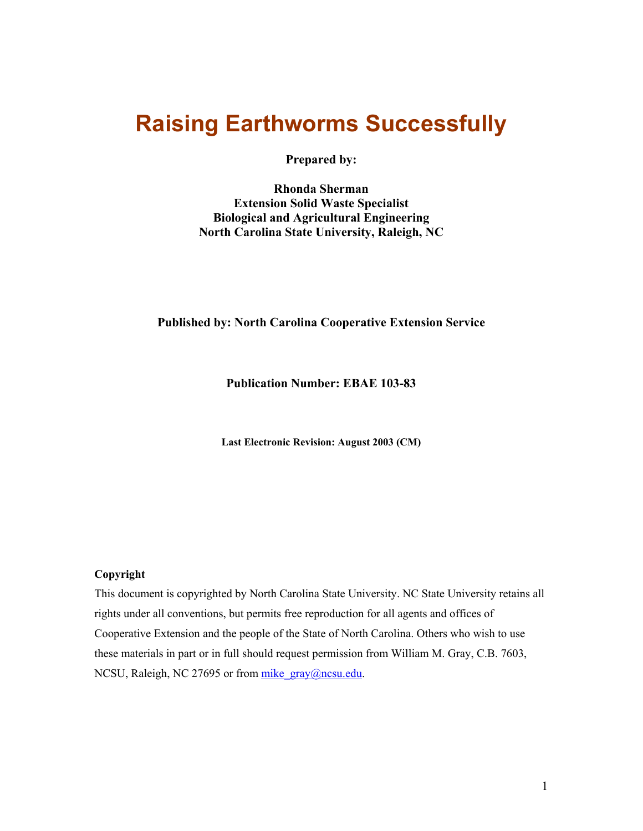# <span id="page-0-0"></span>**Raising Earthworms Successfully**

**Prepared by:** 

**Rhonda Sherman Extension Solid Waste Specialist Biological and Agricultural Engineering North Carolina State University, Raleigh, NC** 

## **Published by: North Carolina Cooperative Extension Service**

**Publication Number: EBAE 103-83** 

**Last Electronic Revision: August 2003 (CM)**

#### **Copyright**

This document is copyrighted by North Carolina State University. NC State University retains all rights under all conventions, but permits free reproduction for all agents and offices of Cooperative Extension and the people of the State of North Carolina. Others who wish to use these materials in part or in full should request permission from William M. Gray, C.B. 7603, NCSU, Raleigh, NC 27695 or from mike gray@ncsu.edu.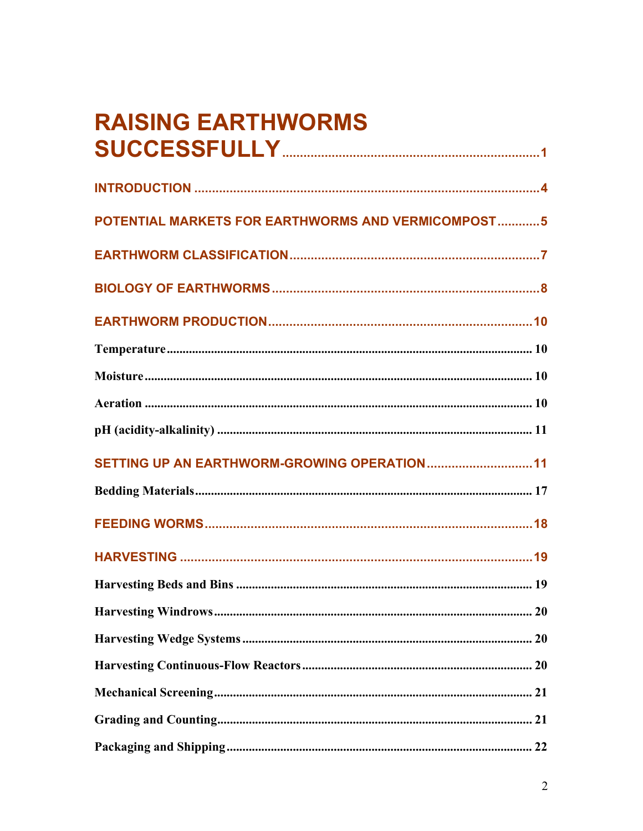# **RAISING EARTHWORMS**

| POTENTIAL MARKETS FOR EARTHWORMS AND VERMICOMPOST5 |
|----------------------------------------------------|
|                                                    |
|                                                    |
|                                                    |
|                                                    |
|                                                    |
|                                                    |
|                                                    |
|                                                    |
|                                                    |
|                                                    |
|                                                    |
|                                                    |
|                                                    |
|                                                    |
|                                                    |
|                                                    |
|                                                    |
|                                                    |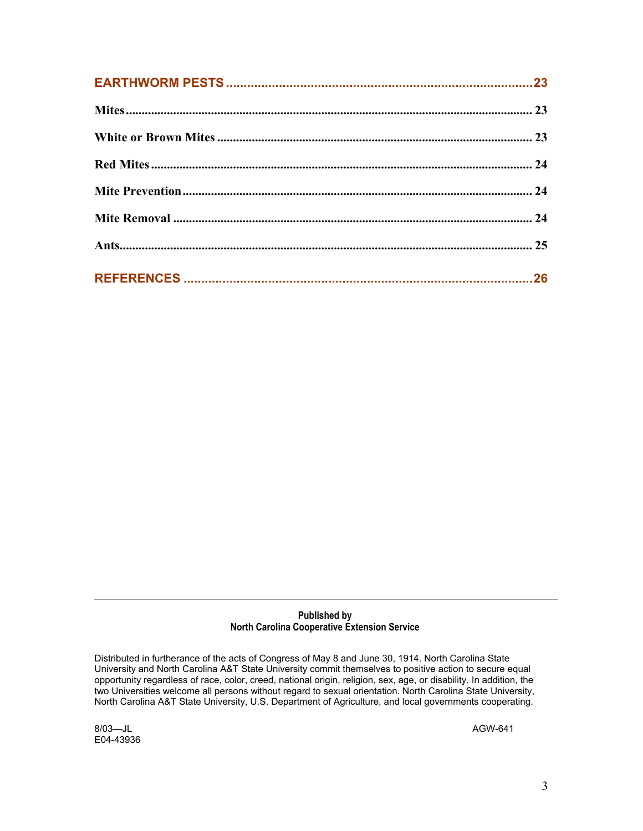#### **Published by North Carolina Cooperative Extension Service**

Distributed in furtherance of the acts of Congress of May 8 and June 30, 1914. North Carolina State University and North Carolina A&T State University commit themselves to positive action to secure equal opportunity regardless of race, color, creed, national origin, religion, sex, age, or disability. In addition, the two Universities welcome all persons without regard to sexual orientation. North Carolina State University, North Carolina A&T State University, U.S. Department of Agriculture, and local governments cooperating.

8/03—JL AGW-641 E04-43936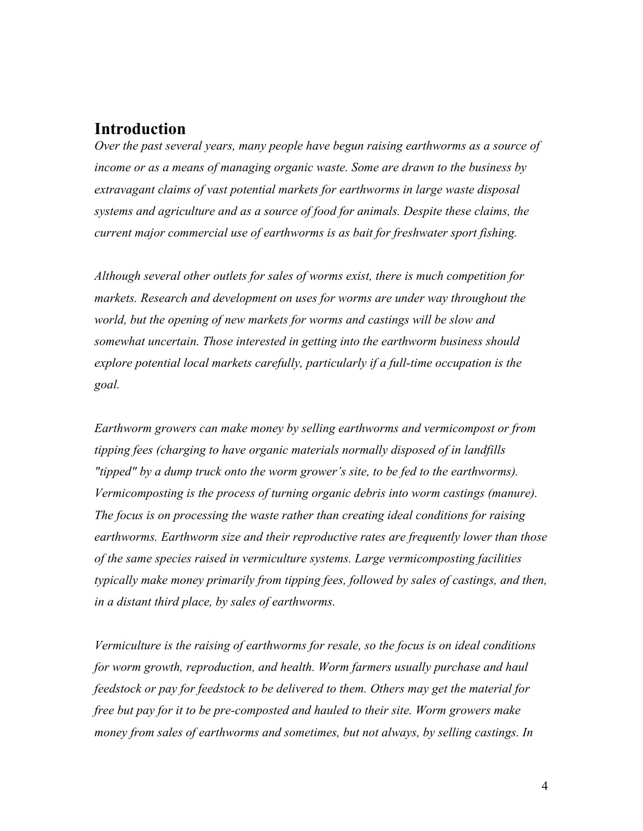# <span id="page-3-0"></span>**Introduction**

*Over the past several years, many people have begun raising earthworms as a source of income or as a means of managing organic waste. Some are drawn to the business by extravagant claims of vast potential markets for earthworms in large waste disposal systems and agriculture and as a source of food for animals. Despite these claims, the current major commercial use of earthworms is as bait for freshwater sport fishing.* 

*Although several other outlets for sales of worms exist, there is much competition for markets. Research and development on uses for worms are under way throughout the world, but the opening of new markets for worms and castings will be slow and somewhat uncertain. Those interested in getting into the earthworm business should explore potential local markets carefully, particularly if a full-time occupation is the goal.* 

*Earthworm growers can make money by selling earthworms and vermicompost or from tipping fees (charging to have organic materials normally disposed of in landfills "tipped" by a dump truck onto the worm grower's site, to be fed to the earthworms). Vermicomposting is the process of turning organic debris into worm castings (manure). The focus is on processing the waste rather than creating ideal conditions for raising earthworms. Earthworm size and their reproductive rates are frequently lower than those of the same species raised in vermiculture systems. Large vermicomposting facilities typically make money primarily from tipping fees, followed by sales of castings, and then, in a distant third place, by sales of earthworms.* 

*Vermiculture is the raising of earthworms for resale, so the focus is on ideal conditions for worm growth, reproduction, and health. Worm farmers usually purchase and haul feedstock or pay for feedstock to be delivered to them. Others may get the material for free but pay for it to be pre-composted and hauled to their site. Worm growers make money from sales of earthworms and sometimes, but not always, by selling castings. In*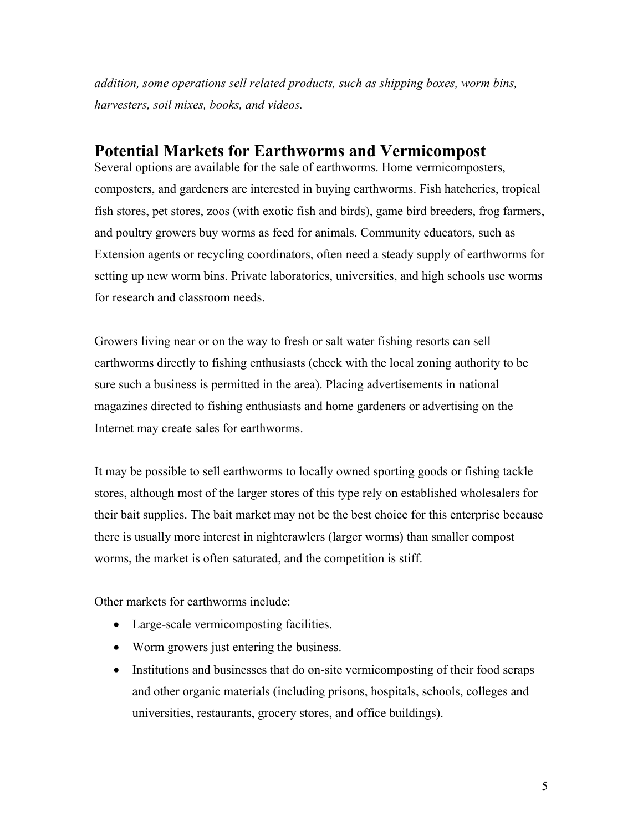<span id="page-4-0"></span>*addition, some operations sell related products, such as shipping boxes, worm bins, harvesters, soil mixes, books, and videos.*

# **Potential Markets for Earthworms and Vermicompost**

Several options are available for the sale of earthworms. Home vermicomposters, composters, and gardeners are interested in buying earthworms. Fish hatcheries, tropical fish stores, pet stores, zoos (with exotic fish and birds), game bird breeders, frog farmers, and poultry growers buy worms as feed for animals. Community educators, such as Extension agents or recycling coordinators, often need a steady supply of earthworms for setting up new worm bins. Private laboratories, universities, and high schools use worms for research and classroom needs.

Growers living near or on the way to fresh or salt water fishing resorts can sell earthworms directly to fishing enthusiasts (check with the local zoning authority to be sure such a business is permitted in the area). Placing advertisements in national magazines directed to fishing enthusiasts and home gardeners or advertising on the Internet may create sales for earthworms.

It may be possible to sell earthworms to locally owned sporting goods or fishing tackle stores, although most of the larger stores of this type rely on established wholesalers for their bait supplies. The bait market may not be the best choice for this enterprise because there is usually more interest in nightcrawlers (larger worms) than smaller compost worms, the market is often saturated, and the competition is stiff.

Other markets for earthworms include:

- Large-scale vermicomposting facilities.
- Worm growers just entering the business.
- Institutions and businesses that do on-site vermicomposting of their food scraps and other organic materials (including prisons, hospitals, schools, colleges and universities, restaurants, grocery stores, and office buildings).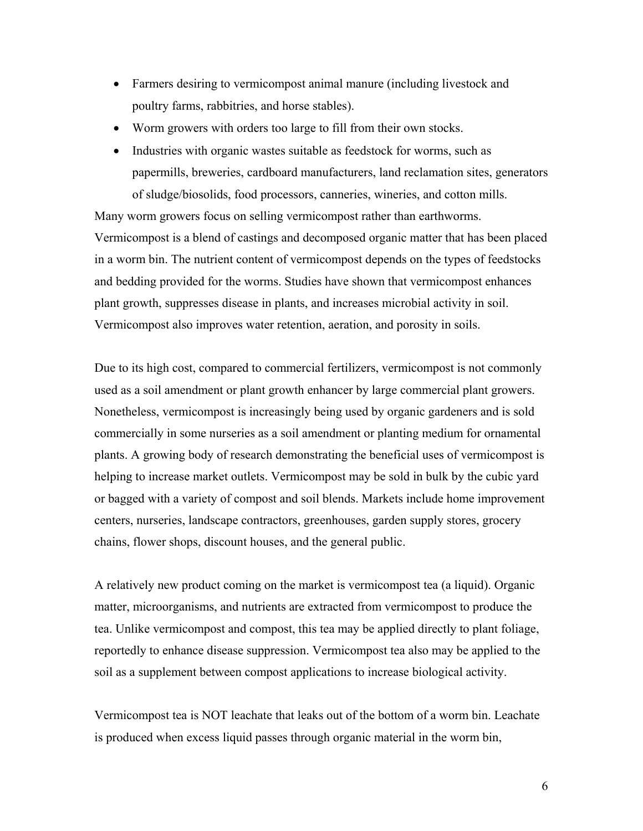- Farmers desiring to vermicompost animal manure (including livestock and poultry farms, rabbitries, and horse stables).
- Worm growers with orders too large to fill from their own stocks.
- Industries with organic wastes suitable as feedstock for worms, such as papermills, breweries, cardboard manufacturers, land reclamation sites, generators of sludge/biosolids, food processors, canneries, wineries, and cotton mills.

Many worm growers focus on selling vermicompost rather than earthworms. Vermicompost is a blend of castings and decomposed organic matter that has been placed in a worm bin. The nutrient content of vermicompost depends on the types of feedstocks and bedding provided for the worms. Studies have shown that vermicompost enhances plant growth, suppresses disease in plants, and increases microbial activity in soil. Vermicompost also improves water retention, aeration, and porosity in soils.

Due to its high cost, compared to commercial fertilizers, vermicompost is not commonly used as a soil amendment or plant growth enhancer by large commercial plant growers. Nonetheless, vermicompost is increasingly being used by organic gardeners and is sold commercially in some nurseries as a soil amendment or planting medium for ornamental plants. A growing body of research demonstrating the beneficial uses of vermicompost is helping to increase market outlets. Vermicompost may be sold in bulk by the cubic yard or bagged with a variety of compost and soil blends. Markets include home improvement centers, nurseries, landscape contractors, greenhouses, garden supply stores, grocery chains, flower shops, discount houses, and the general public.

A relatively new product coming on the market is vermicompost tea (a liquid). Organic matter, microorganisms, and nutrients are extracted from vermicompost to produce the tea. Unlike vermicompost and compost, this tea may be applied directly to plant foliage, reportedly to enhance disease suppression. Vermicompost tea also may be applied to the soil as a supplement between compost applications to increase biological activity.

Vermicompost tea is NOT leachate that leaks out of the bottom of a worm bin. Leachate is produced when excess liquid passes through organic material in the worm bin,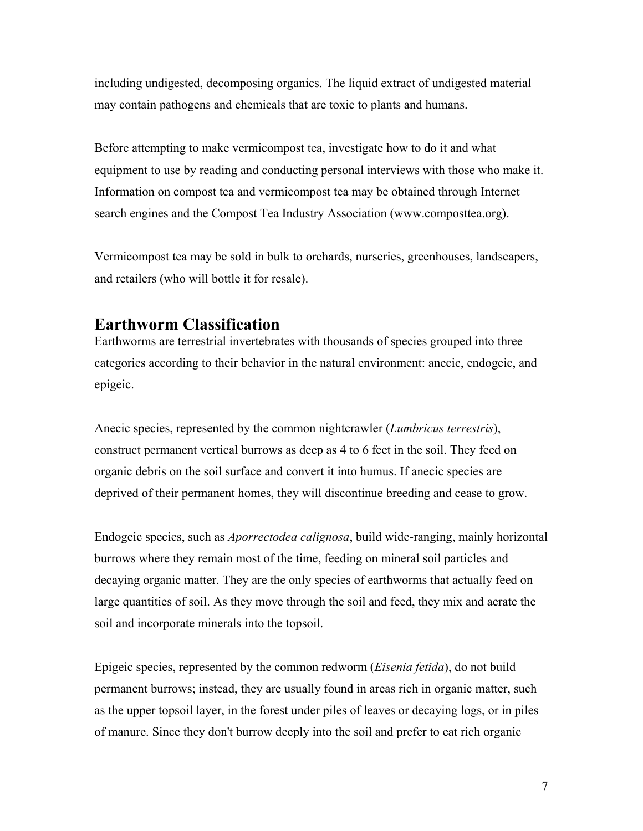<span id="page-6-0"></span>including undigested, decomposing organics. The liquid extract of undigested material may contain pathogens and chemicals that are toxic to plants and humans.

Before attempting to make vermicompost tea, investigate how to do it and what equipment to use by reading and conducting personal interviews with those who make it. Information on compost tea and vermicompost tea may be obtained through Internet search engines and the Compost Tea Industry Association (www.composttea.org).

Vermicompost tea may be sold in bulk to orchards, nurseries, greenhouses, landscapers, and retailers (who will bottle it for resale).

# **Earthworm Classification**

Earthworms are terrestrial invertebrates with thousands of species grouped into three categories according to their behavior in the natural environment: anecic, endogeic, and epigeic.

Anecic species, represented by the common nightcrawler (*Lumbricus terrestris*), construct permanent vertical burrows as deep as 4 to 6 feet in the soil. They feed on organic debris on the soil surface and convert it into humus. If anecic species are deprived of their permanent homes, they will discontinue breeding and cease to grow.

Endogeic species, such as *Aporrectodea calignosa*, build wide-ranging, mainly horizontal burrows where they remain most of the time, feeding on mineral soil particles and decaying organic matter. They are the only species of earthworms that actually feed on large quantities of soil. As they move through the soil and feed, they mix and aerate the soil and incorporate minerals into the topsoil.

Epigeic species, represented by the common redworm (*Eisenia fetida*), do not build permanent burrows; instead, they are usually found in areas rich in organic matter, such as the upper topsoil layer, in the forest under piles of leaves or decaying logs, or in piles of manure. Since they don't burrow deeply into the soil and prefer to eat rich organic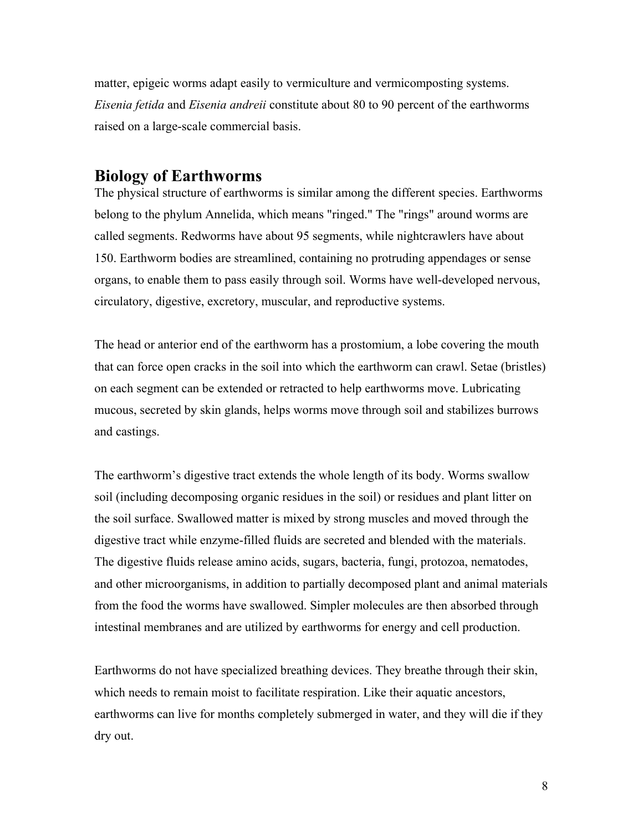<span id="page-7-0"></span>matter, epigeic worms adapt easily to vermiculture and vermicomposting systems. *Eisenia fetida* and *Eisenia andreii* constitute about 80 to 90 percent of the earthworms raised on a large-scale commercial basis.

# **Biology of Earthworms**

The physical structure of earthworms is similar among the different species. Earthworms belong to the phylum Annelida, which means "ringed." The "rings" around worms are called segments. Redworms have about 95 segments, while nightcrawlers have about 150. Earthworm bodies are streamlined, containing no protruding appendages or sense organs, to enable them to pass easily through soil. Worms have well-developed nervous, circulatory, digestive, excretory, muscular, and reproductive systems.

The head or anterior end of the earthworm has a prostomium, a lobe covering the mouth that can force open cracks in the soil into which the earthworm can crawl. Setae (bristles) on each segment can be extended or retracted to help earthworms move. Lubricating mucous, secreted by skin glands, helps worms move through soil and stabilizes burrows and castings.

The earthworm's digestive tract extends the whole length of its body. Worms swallow soil (including decomposing organic residues in the soil) or residues and plant litter on the soil surface. Swallowed matter is mixed by strong muscles and moved through the digestive tract while enzyme-filled fluids are secreted and blended with the materials. The digestive fluids release amino acids, sugars, bacteria, fungi, protozoa, nematodes, and other microorganisms, in addition to partially decomposed plant and animal materials from the food the worms have swallowed. Simpler molecules are then absorbed through intestinal membranes and are utilized by earthworms for energy and cell production.

Earthworms do not have specialized breathing devices. They breathe through their skin, which needs to remain moist to facilitate respiration. Like their aquatic ancestors, earthworms can live for months completely submerged in water, and they will die if they dry out.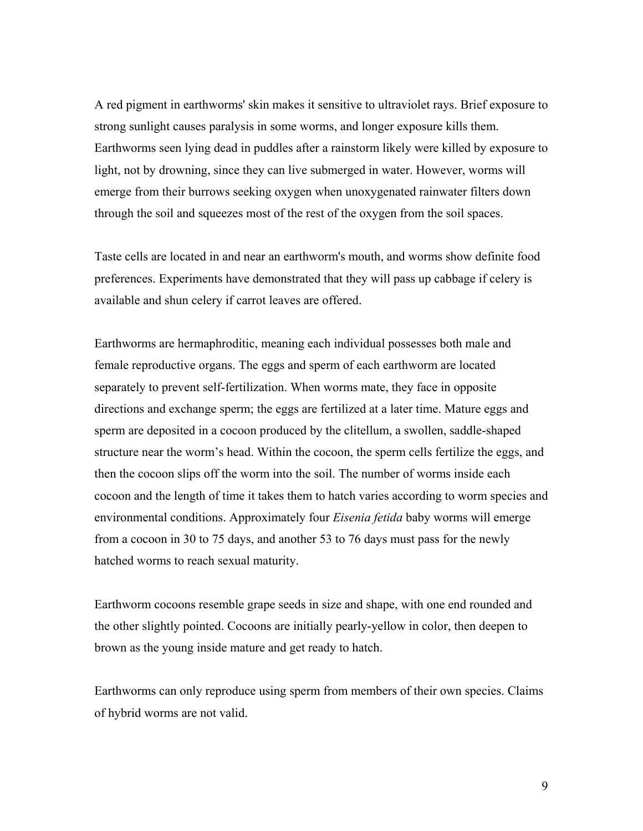A red pigment in earthworms' skin makes it sensitive to ultraviolet rays. Brief exposure to strong sunlight causes paralysis in some worms, and longer exposure kills them. Earthworms seen lying dead in puddles after a rainstorm likely were killed by exposure to light, not by drowning, since they can live submerged in water. However, worms will emerge from their burrows seeking oxygen when unoxygenated rainwater filters down through the soil and squeezes most of the rest of the oxygen from the soil spaces.

Taste cells are located in and near an earthworm's mouth, and worms show definite food preferences. Experiments have demonstrated that they will pass up cabbage if celery is available and shun celery if carrot leaves are offered.

Earthworms are hermaphroditic, meaning each individual possesses both male and female reproductive organs. The eggs and sperm of each earthworm are located separately to prevent self-fertilization. When worms mate, they face in opposite directions and exchange sperm; the eggs are fertilized at a later time. Mature eggs and sperm are deposited in a cocoon produced by the clitellum, a swollen, saddle-shaped structure near the worm's head. Within the cocoon, the sperm cells fertilize the eggs, and then the cocoon slips off the worm into the soil. The number of worms inside each cocoon and the length of time it takes them to hatch varies according to worm species and environmental conditions. Approximately four *Eisenia fetida* baby worms will emerge from a cocoon in 30 to 75 days, and another 53 to 76 days must pass for the newly hatched worms to reach sexual maturity.

Earthworm cocoons resemble grape seeds in size and shape, with one end rounded and the other slightly pointed. Cocoons are initially pearly-yellow in color, then deepen to brown as the young inside mature and get ready to hatch.

Earthworms can only reproduce using sperm from members of their own species. Claims of hybrid worms are not valid.

9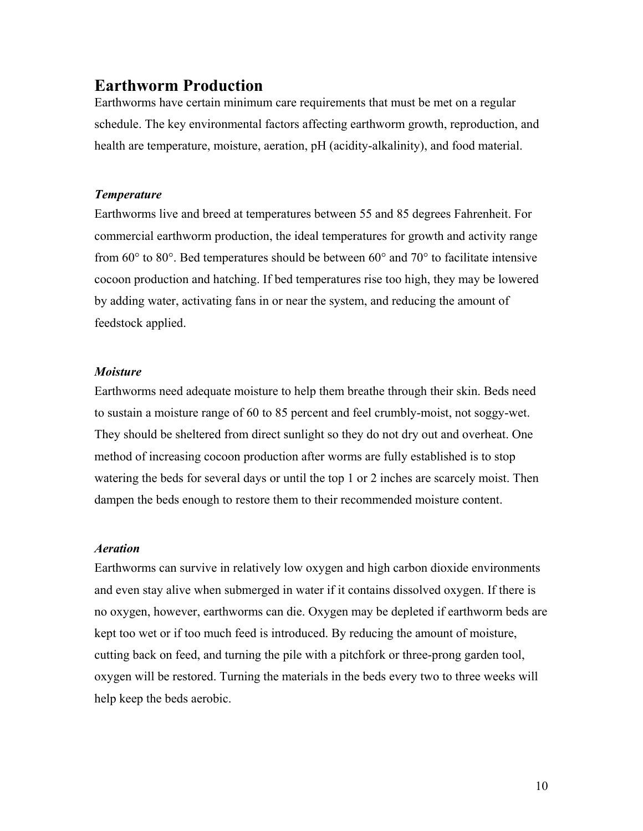# <span id="page-9-0"></span>**Earthworm Production**

Earthworms have certain minimum care requirements that must be met on a regular schedule. The key environmental factors affecting earthworm growth, reproduction, and health are temperature, moisture, aeration, pH (acidity-alkalinity), and food material.

## *Temperature*

Earthworms live and breed at temperatures between 55 and 85 degrees Fahrenheit. For commercial earthworm production, the ideal temperatures for growth and activity range from  $60^{\circ}$  to  $80^{\circ}$ . Bed temperatures should be between  $60^{\circ}$  and  $70^{\circ}$  to facilitate intensive cocoon production and hatching. If bed temperatures rise too high, they may be lowered by adding water, activating fans in or near the system, and reducing the amount of feedstock applied.

## *Moisture*

Earthworms need adequate moisture to help them breathe through their skin. Beds need to sustain a moisture range of 60 to 85 percent and feel crumbly-moist, not soggy-wet. They should be sheltered from direct sunlight so they do not dry out and overheat. One method of increasing cocoon production after worms are fully established is to stop watering the beds for several days or until the top 1 or 2 inches are scarcely moist. Then dampen the beds enough to restore them to their recommended moisture content.

#### *Aeration*

Earthworms can survive in relatively low oxygen and high carbon dioxide environments and even stay alive when submerged in water if it contains dissolved oxygen. If there is no oxygen, however, earthworms can die. Oxygen may be depleted if earthworm beds are kept too wet or if too much feed is introduced. By reducing the amount of moisture, cutting back on feed, and turning the pile with a pitchfork or three-prong garden tool, oxygen will be restored. Turning the materials in the beds every two to three weeks will help keep the beds aerobic.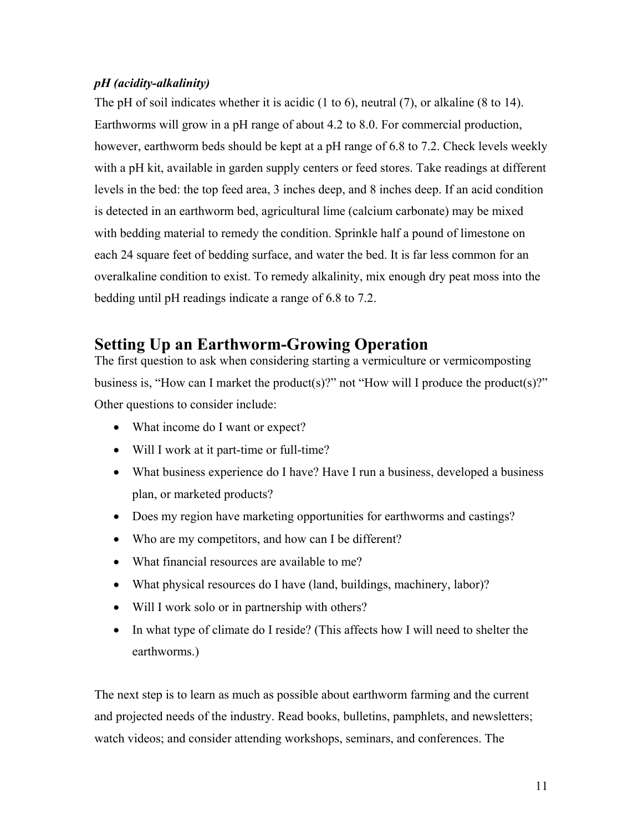# <span id="page-10-0"></span>*pH (acidity-alkalinity)*

The pH of soil indicates whether it is acidic (1 to 6), neutral (7), or alkaline (8 to 14). Earthworms will grow in a pH range of about 4.2 to 8.0. For commercial production, however, earthworm beds should be kept at a pH range of 6.8 to 7.2. Check levels weekly with a pH kit, available in garden supply centers or feed stores. Take readings at different levels in the bed: the top feed area, 3 inches deep, and 8 inches deep. If an acid condition is detected in an earthworm bed, agricultural lime (calcium carbonate) may be mixed with bedding material to remedy the condition. Sprinkle half a pound of limestone on each 24 square feet of bedding surface, and water the bed. It is far less common for an overalkaline condition to exist. To remedy alkalinity, mix enough dry peat moss into the bedding until pH readings indicate a range of 6.8 to 7.2.

# **Setting Up an Earthworm-Growing Operation**

The first question to ask when considering starting a vermiculture or vermicomposting business is, "How can I market the product(s)?" not "How will I produce the product(s)?" Other questions to consider include:

- What income do I want or expect?
- Will I work at it part-time or full-time?
- What business experience do I have? Have I run a business, developed a business plan, or marketed products?
- Does my region have marketing opportunities for earthworms and castings?
- Who are my competitors, and how can I be different?
- What financial resources are available to me?
- What physical resources do I have (land, buildings, machinery, labor)?
- Will I work solo or in partnership with others?
- In what type of climate do I reside? (This affects how I will need to shelter the earthworms.)

The next step is to learn as much as possible about earthworm farming and the current and projected needs of the industry. Read books, bulletins, pamphlets, and newsletters; watch videos; and consider attending workshops, seminars, and conferences. The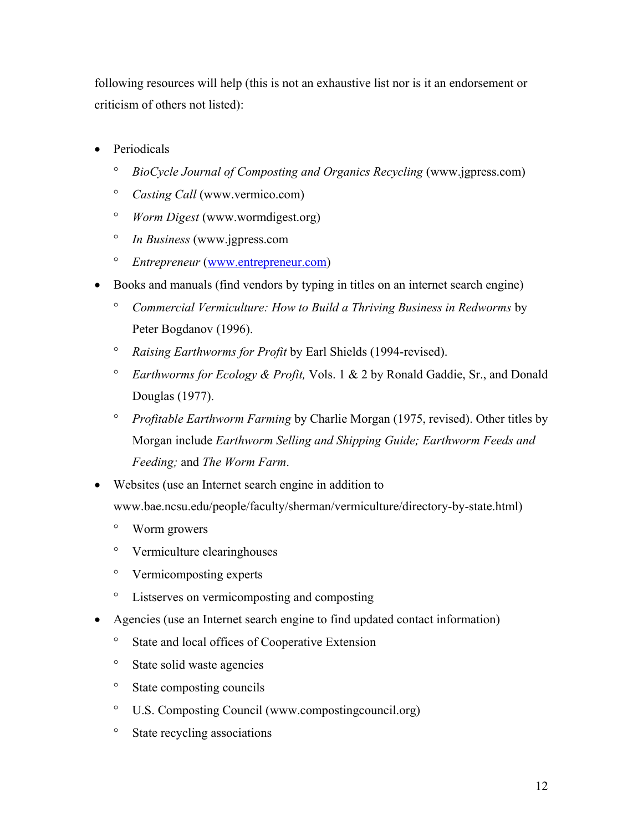following resources will help (this is not an exhaustive list nor is it an endorsement or criticism of others not listed):

- Periodicals
	- ° *BioCycle Journal of Composting and Organics Recycling* (www.jgpress.com)
	- $\circ$ *Casting Call* (www.vermico.com)
	- ° *Worm Digest* (www.wormdigest.org)
	- ° *In Business* (www.jgpress.com
	- ° *Entrepreneur* ([www.entrepreneur.com](http://www.entrepreneur.com/))
- Books and manuals (find vendors by typing in titles on an internet search engine)
	- *Commercial Vermiculture: How to Build a Thriving Business in Redworms* by ° Peter Bogdanov (1996).
	- ° *Raising Earthworms for Profit* by Earl Shields (1994-revised).
	- ° *Earthworms for Ecology & Profit,* Vols. 1 & 2 by Ronald Gaddie, Sr., and Donald Douglas (1977).
	- ° *Profitable Earthworm Farming* by Charlie Morgan (1975, revised). Other titles by Morgan include *Earthworm Selling and Shipping Guide; Earthworm Feeds and Feeding;* and *The Worm Farm*.
- Websites (use an Internet search engine in addition to www.bae.ncsu.edu/people/faculty/sherman/vermiculture/directory-by-state.html)
	- ° Worm growers
	- ° Vermiculture clearinghouses
	- ° Vermicomposting experts
	- $\circ$ Listserves on vermicomposting and composting
- Agencies (use an Internet search engine to find updated contact information)
	- $\circ$ State and local offices of Cooperative Extension
	- $\circ$ State solid waste agencies
	- $\circ$ State composting councils
	- ° U.S. Composting Council (www.compostingcouncil.org)
	- $\circ$ State recycling associations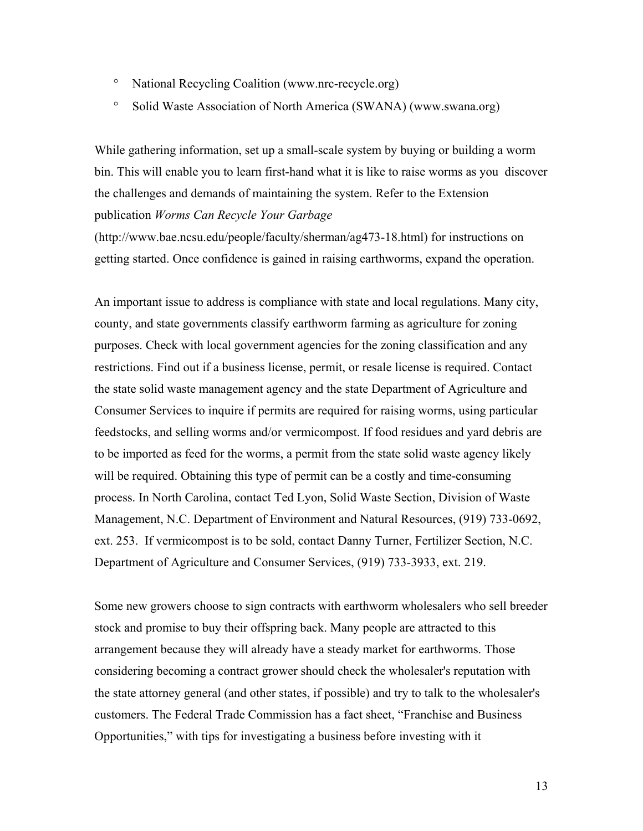- ° National Recycling Coalition (www.nrc-recycle.org)
- ° Solid Waste Association of North America (SWANA) (www.swana.org)

While gathering information, set up a small-scale system by buying or building a worm bin. This will enable you to learn first-hand what it is like to raise worms as you discover the challenges and demands of maintaining the system. Refer to the Extension publication *Worms Can Recycle Your Garbage*

(http://www.bae.ncsu.edu/people/faculty/sherman/ag473-18.html) for instructions on getting started. Once confidence is gained in raising earthworms, expand the operation.

An important issue to address is compliance with state and local regulations. Many city, county, and state governments classify earthworm farming as agriculture for zoning purposes. Check with local government agencies for the zoning classification and any restrictions. Find out if a business license, permit, or resale license is required. Contact the state solid waste management agency and the state Department of Agriculture and Consumer Services to inquire if permits are required for raising worms, using particular feedstocks, and selling worms and/or vermicompost. If food residues and yard debris are to be imported as feed for the worms, a permit from the state solid waste agency likely will be required. Obtaining this type of permit can be a costly and time-consuming process. In North Carolina, contact Ted Lyon, Solid Waste Section, Division of Waste Management, N.C. Department of Environment and Natural Resources, (919) 733-0692, ext. 253. If vermicompost is to be sold, contact Danny Turner, Fertilizer Section, N.C. Department of Agriculture and Consumer Services, (919) 733-3933, ext. 219.

Some new growers choose to sign contracts with earthworm wholesalers who sell breeder stock and promise to buy their offspring back. Many people are attracted to this arrangement because they will already have a steady market for earthworms. Those considering becoming a contract grower should check the wholesaler's reputation with the state attorney general (and other states, if possible) and try to talk to the wholesaler's customers. The Federal Trade Commission has a fact sheet, "Franchise and Business Opportunities," with tips for investigating a business before investing with it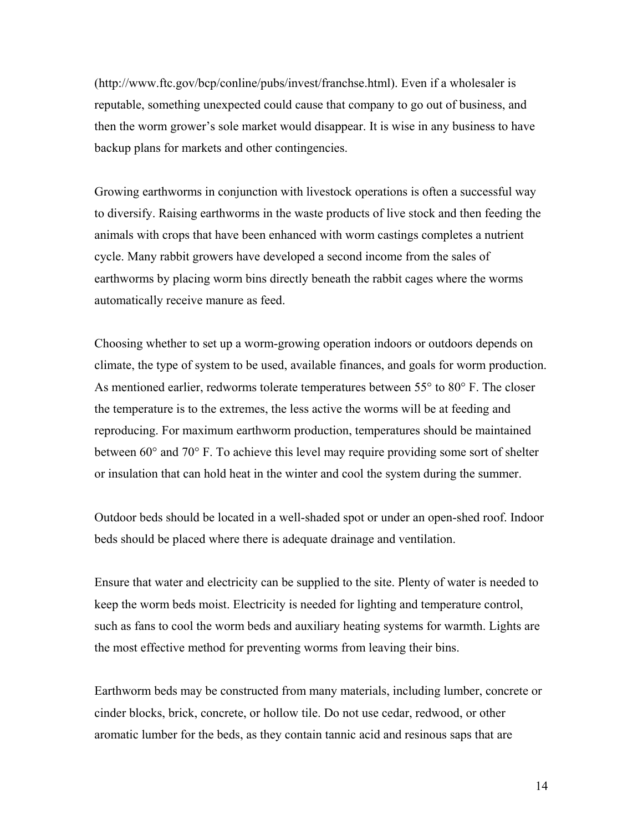(http://www.ftc.gov/bcp/conline/pubs/invest/franchse.html). Even if a wholesaler is reputable, something unexpected could cause that company to go out of business, and then the worm grower's sole market would disappear. It is wise in any business to have backup plans for markets and other contingencies.

Growing earthworms in conjunction with livestock operations is often a successful way to diversify. Raising earthworms in the waste products of live stock and then feeding the animals with crops that have been enhanced with worm castings completes a nutrient cycle. Many rabbit growers have developed a second income from the sales of earthworms by placing worm bins directly beneath the rabbit cages where the worms automatically receive manure as feed.

Choosing whether to set up a worm-growing operation indoors or outdoors depends on climate, the type of system to be used, available finances, and goals for worm production. As mentioned earlier, redworms tolerate temperatures between 55° to 80° F. The closer the temperature is to the extremes, the less active the worms will be at feeding and reproducing. For maximum earthworm production, temperatures should be maintained between 60° and 70° F. To achieve this level may require providing some sort of shelter or insulation that can hold heat in the winter and cool the system during the summer.

Outdoor beds should be located in a well-shaded spot or under an open-shed roof. Indoor beds should be placed where there is adequate drainage and ventilation.

Ensure that water and electricity can be supplied to the site. Plenty of water is needed to keep the worm beds moist. Electricity is needed for lighting and temperature control, such as fans to cool the worm beds and auxiliary heating systems for warmth. Lights are the most effective method for preventing worms from leaving their bins.

Earthworm beds may be constructed from many materials, including lumber, concrete or cinder blocks, brick, concrete, or hollow tile. Do not use cedar, redwood, or other aromatic lumber for the beds, as they contain tannic acid and resinous saps that are

14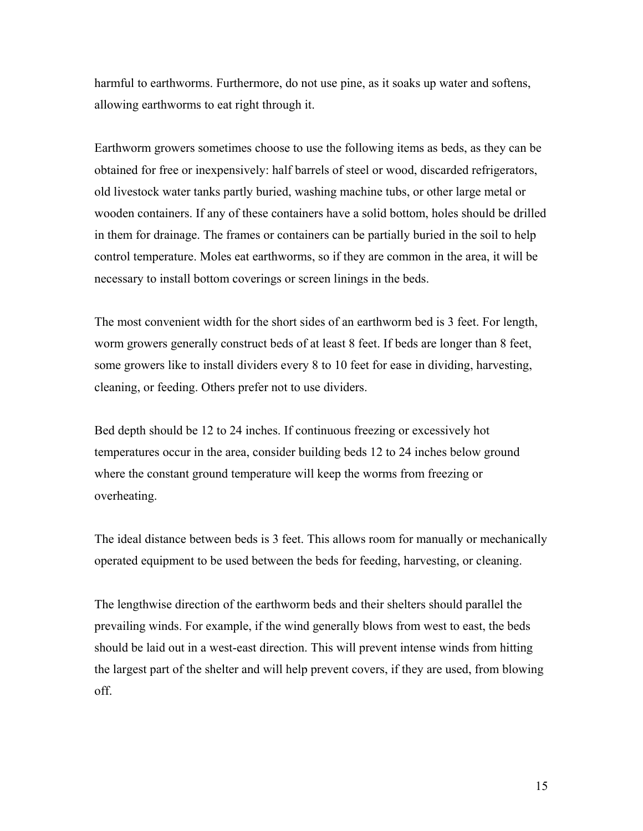harmful to earthworms. Furthermore, do not use pine, as it soaks up water and softens, allowing earthworms to eat right through it.

Earthworm growers sometimes choose to use the following items as beds, as they can be obtained for free or inexpensively: half barrels of steel or wood, discarded refrigerators, old livestock water tanks partly buried, washing machine tubs, or other large metal or wooden containers. If any of these containers have a solid bottom, holes should be drilled in them for drainage. The frames or containers can be partially buried in the soil to help control temperature. Moles eat earthworms, so if they are common in the area, it will be necessary to install bottom coverings or screen linings in the beds.

The most convenient width for the short sides of an earthworm bed is 3 feet. For length, worm growers generally construct beds of at least 8 feet. If beds are longer than 8 feet, some growers like to install dividers every 8 to 10 feet for ease in dividing, harvesting, cleaning, or feeding. Others prefer not to use dividers.

Bed depth should be 12 to 24 inches. If continuous freezing or excessively hot temperatures occur in the area, consider building beds 12 to 24 inches below ground where the constant ground temperature will keep the worms from freezing or overheating.

The ideal distance between beds is 3 feet. This allows room for manually or mechanically operated equipment to be used between the beds for feeding, harvesting, or cleaning.

The lengthwise direction of the earthworm beds and their shelters should parallel the prevailing winds. For example, if the wind generally blows from west to east, the beds should be laid out in a west-east direction. This will prevent intense winds from hitting the largest part of the shelter and will help prevent covers, if they are used, from blowing off.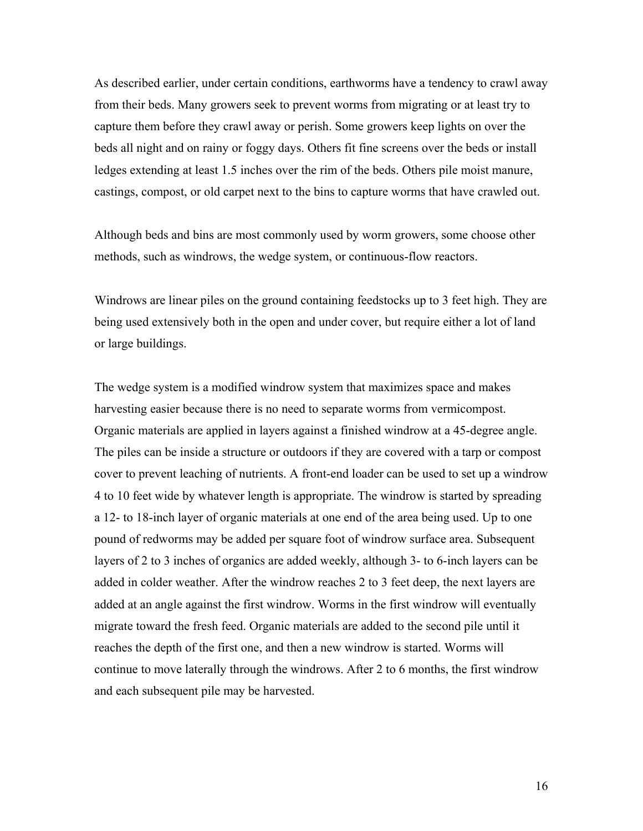As described earlier, under certain conditions, earthworms have a tendency to crawl away from their beds. Many growers seek to prevent worms from migrating or at least try to capture them before they crawl away or perish. Some growers keep lights on over the beds all night and on rainy or foggy days. Others fit fine screens over the beds or install ledges extending at least 1.5 inches over the rim of the beds. Others pile moist manure, castings, compost, or old carpet next to the bins to capture worms that have crawled out.

Although beds and bins are most commonly used by worm growers, some choose other methods, such as windrows, the wedge system, or continuous-flow reactors.

Windrows are linear piles on the ground containing feedstocks up to 3 feet high. They are being used extensively both in the open and under cover, but require either a lot of land or large buildings.

The wedge system is a modified windrow system that maximizes space and makes harvesting easier because there is no need to separate worms from vermicompost. Organic materials are applied in layers against a finished windrow at a 45-degree angle. The piles can be inside a structure or outdoors if they are covered with a tarp or compost cover to prevent leaching of nutrients. A front-end loader can be used to set up a windrow 4 to 10 feet wide by whatever length is appropriate. The windrow is started by spreading a 12- to 18-inch layer of organic materials at one end of the area being used. Up to one pound of redworms may be added per square foot of windrow surface area. Subsequent layers of 2 to 3 inches of organics are added weekly, although 3- to 6-inch layers can be added in colder weather. After the windrow reaches 2 to 3 feet deep, the next layers are added at an angle against the first windrow. Worms in the first windrow will eventually migrate toward the fresh feed. Organic materials are added to the second pile until it reaches the depth of the first one, and then a new windrow is started. Worms will continue to move laterally through the windrows. After 2 to 6 months, the first windrow and each subsequent pile may be harvested.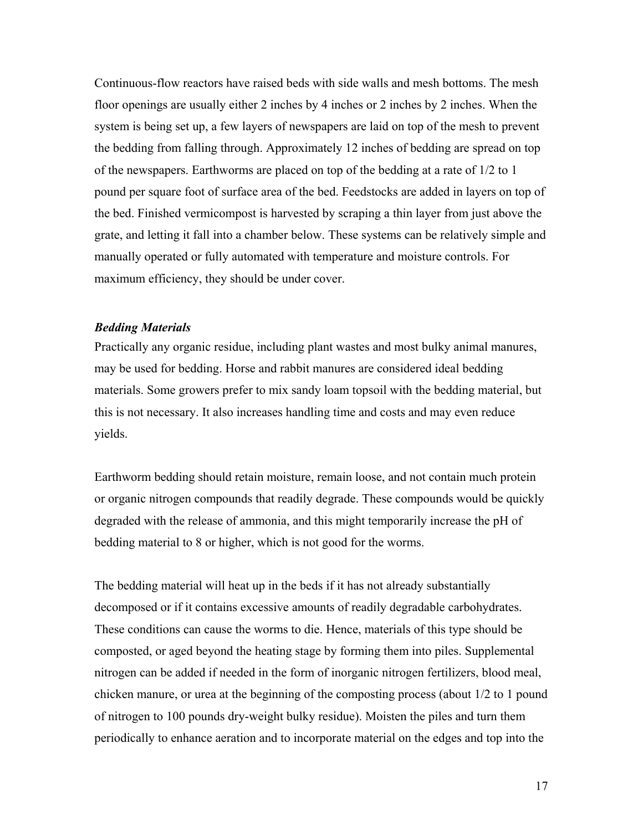<span id="page-16-0"></span>Continuous-flow reactors have raised beds with side walls and mesh bottoms. The mesh floor openings are usually either 2 inches by 4 inches or 2 inches by 2 inches. When the system is being set up, a few layers of newspapers are laid on top of the mesh to prevent the bedding from falling through. Approximately 12 inches of bedding are spread on top of the newspapers. Earthworms are placed on top of the bedding at a rate of 1/2 to 1 pound per square foot of surface area of the bed. Feedstocks are added in layers on top of the bed. Finished vermicompost is harvested by scraping a thin layer from just above the grate, and letting it fall into a chamber below. These systems can be relatively simple and manually operated or fully automated with temperature and moisture controls. For maximum efficiency, they should be under cover.

### *Bedding Materials*

Practically any organic residue, including plant wastes and most bulky animal manures, may be used for bedding. Horse and rabbit manures are considered ideal bedding materials. Some growers prefer to mix sandy loam topsoil with the bedding material, but this is not necessary. It also increases handling time and costs and may even reduce yields.

Earthworm bedding should retain moisture, remain loose, and not contain much protein or organic nitrogen compounds that readily degrade. These compounds would be quickly degraded with the release of ammonia, and this might temporarily increase the pH of bedding material to 8 or higher, which is not good for the worms.

The bedding material will heat up in the beds if it has not already substantially decomposed or if it contains excessive amounts of readily degradable carbohydrates. These conditions can cause the worms to die. Hence, materials of this type should be composted, or aged beyond the heating stage by forming them into piles. Supplemental nitrogen can be added if needed in the form of inorganic nitrogen fertilizers, blood meal, chicken manure, or urea at the beginning of the composting process (about 1/2 to 1 pound of nitrogen to 100 pounds dry-weight bulky residue). Moisten the piles and turn them periodically to enhance aeration and to incorporate material on the edges and top into the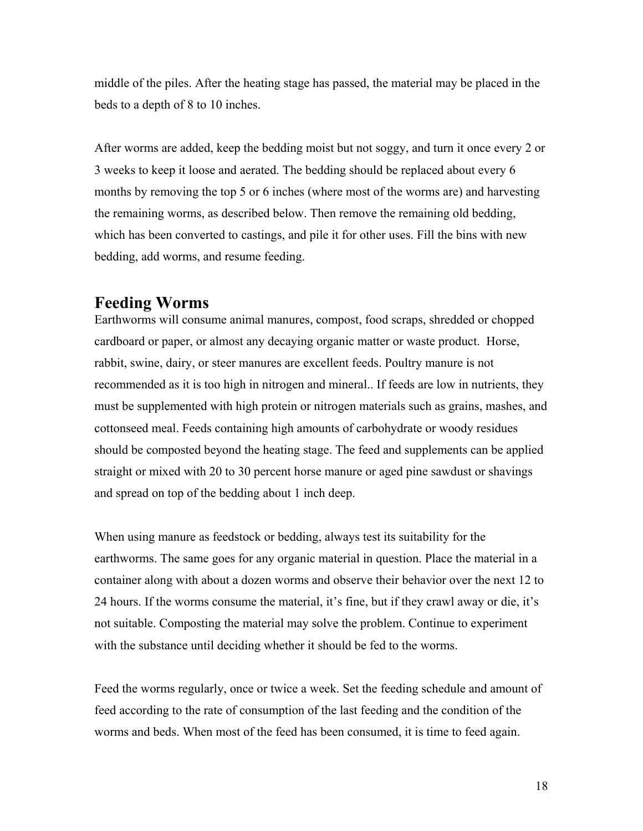<span id="page-17-0"></span>middle of the piles. After the heating stage has passed, the material may be placed in the beds to a depth of 8 to 10 inches.

After worms are added, keep the bedding moist but not soggy, and turn it once every 2 or 3 weeks to keep it loose and aerated. The bedding should be replaced about every 6 months by removing the top 5 or 6 inches (where most of the worms are) and harvesting the remaining worms, as described below. Then remove the remaining old bedding, which has been converted to castings, and pile it for other uses. Fill the bins with new bedding, add worms, and resume feeding.

# **Feeding Worms**

Earthworms will consume animal manures, compost, food scraps, shredded or chopped cardboard or paper, or almost any decaying organic matter or waste product. Horse, rabbit, swine, dairy, or steer manures are excellent feeds. Poultry manure is not recommended as it is too high in nitrogen and mineral.. If feeds are low in nutrients, they must be supplemented with high protein or nitrogen materials such as grains, mashes, and cottonseed meal. Feeds containing high amounts of carbohydrate or woody residues should be composted beyond the heating stage. The feed and supplements can be applied straight or mixed with 20 to 30 percent horse manure or aged pine sawdust or shavings and spread on top of the bedding about 1 inch deep.

When using manure as feedstock or bedding, always test its suitability for the earthworms. The same goes for any organic material in question. Place the material in a container along with about a dozen worms and observe their behavior over the next 12 to 24 hours. If the worms consume the material, it's fine, but if they crawl away or die, it's not suitable. Composting the material may solve the problem. Continue to experiment with the substance until deciding whether it should be fed to the worms.

Feed the worms regularly, once or twice a week. Set the feeding schedule and amount of feed according to the rate of consumption of the last feeding and the condition of the worms and beds. When most of the feed has been consumed, it is time to feed again.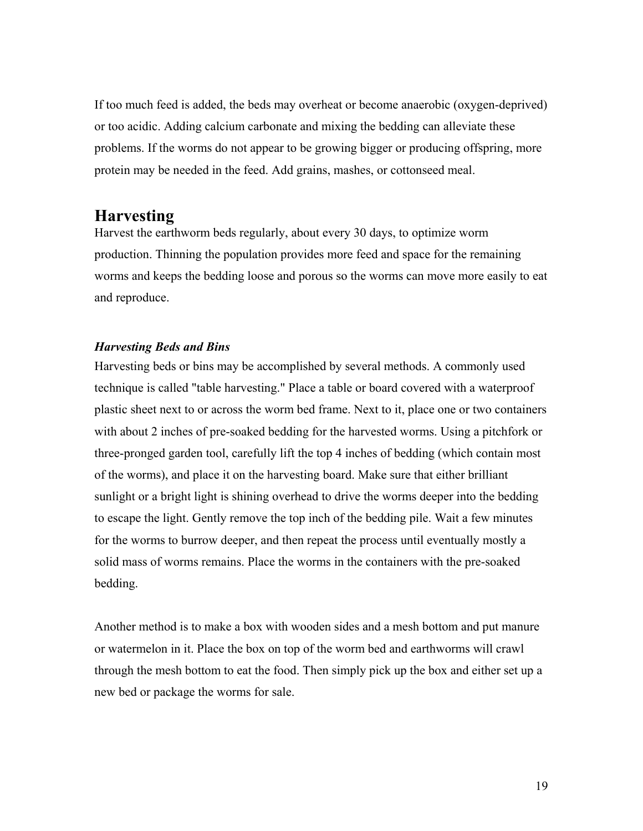<span id="page-18-0"></span>If too much feed is added, the beds may overheat or become anaerobic (oxygen-deprived) or too acidic. Adding calcium carbonate and mixing the bedding can alleviate these problems. If the worms do not appear to be growing bigger or producing offspring, more protein may be needed in the feed. Add grains, mashes, or cottonseed meal.

# **Harvesting**

Harvest the earthworm beds regularly, about every 30 days, to optimize worm production. Thinning the population provides more feed and space for the remaining worms and keeps the bedding loose and porous so the worms can move more easily to eat and reproduce.

# *Harvesting Beds and Bins*

Harvesting beds or bins may be accomplished by several methods. A commonly used technique is called "table harvesting." Place a table or board covered with a waterproof plastic sheet next to or across the worm bed frame. Next to it, place one or two containers with about 2 inches of pre-soaked bedding for the harvested worms. Using a pitchfork or three-pronged garden tool, carefully lift the top 4 inches of bedding (which contain most of the worms), and place it on the harvesting board. Make sure that either brilliant sunlight or a bright light is shining overhead to drive the worms deeper into the bedding to escape the light. Gently remove the top inch of the bedding pile. Wait a few minutes for the worms to burrow deeper, and then repeat the process until eventually mostly a solid mass of worms remains. Place the worms in the containers with the pre-soaked bedding.

Another method is to make a box with wooden sides and a mesh bottom and put manure or watermelon in it. Place the box on top of the worm bed and earthworms will crawl through the mesh bottom to eat the food. Then simply pick up the box and either set up a new bed or package the worms for sale.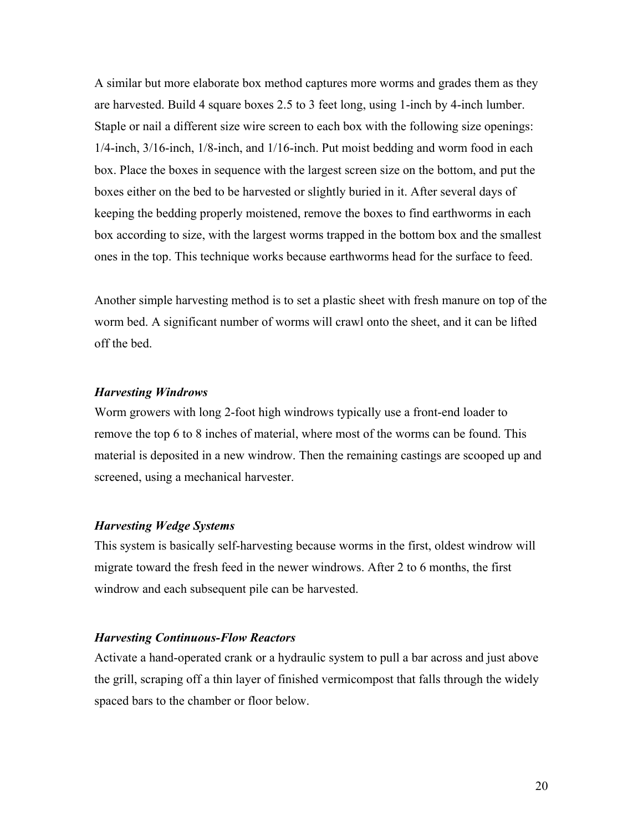<span id="page-19-0"></span>A similar but more elaborate box method captures more worms and grades them as they are harvested. Build 4 square boxes 2.5 to 3 feet long, using 1-inch by 4-inch lumber. Staple or nail a different size wire screen to each box with the following size openings: 1/4-inch, 3/16-inch, 1/8-inch, and 1/16-inch. Put moist bedding and worm food in each box. Place the boxes in sequence with the largest screen size on the bottom, and put the boxes either on the bed to be harvested or slightly buried in it. After several days of keeping the bedding properly moistened, remove the boxes to find earthworms in each box according to size, with the largest worms trapped in the bottom box and the smallest ones in the top. This technique works because earthworms head for the surface to feed.

Another simple harvesting method is to set a plastic sheet with fresh manure on top of the worm bed. A significant number of worms will crawl onto the sheet, and it can be lifted off the bed.

## *Harvesting Windrows*

Worm growers with long 2-foot high windrows typically use a front-end loader to remove the top 6 to 8 inches of material, where most of the worms can be found. This material is deposited in a new windrow. Then the remaining castings are scooped up and screened, using a mechanical harvester.

## *Harvesting Wedge Systems*

This system is basically self-harvesting because worms in the first, oldest windrow will migrate toward the fresh feed in the newer windrows. After 2 to 6 months, the first windrow and each subsequent pile can be harvested.

#### *Harvesting Continuous-Flow Reactors*

Activate a hand-operated crank or a hydraulic system to pull a bar across and just above the grill, scraping off a thin layer of finished vermicompost that falls through the widely spaced bars to the chamber or floor below.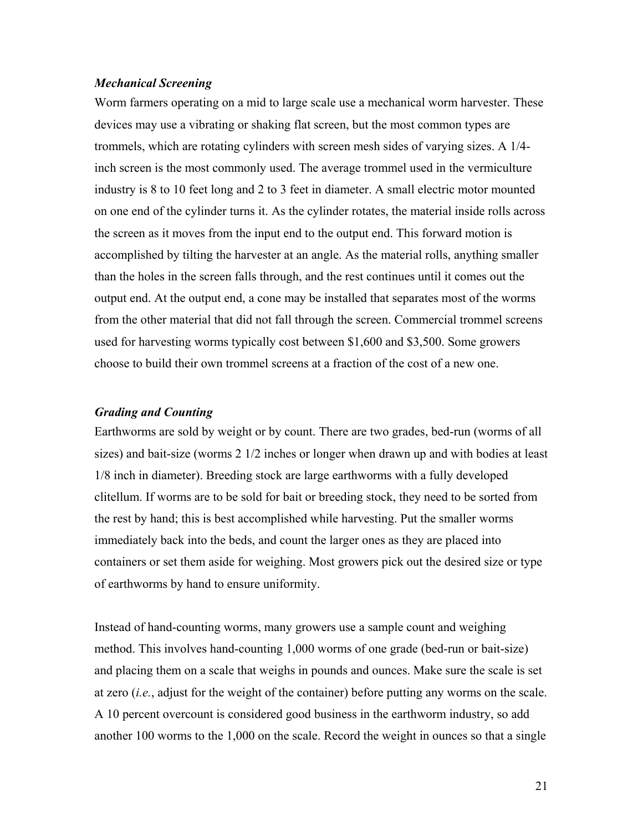## <span id="page-20-0"></span>*Mechanical Screening*

Worm farmers operating on a mid to large scale use a mechanical worm harvester. These devices may use a vibrating or shaking flat screen, but the most common types are trommels, which are rotating cylinders with screen mesh sides of varying sizes. A 1/4 inch screen is the most commonly used. The average trommel used in the vermiculture industry is 8 to 10 feet long and 2 to 3 feet in diameter. A small electric motor mounted on one end of the cylinder turns it. As the cylinder rotates, the material inside rolls across the screen as it moves from the input end to the output end. This forward motion is accomplished by tilting the harvester at an angle. As the material rolls, anything smaller than the holes in the screen falls through, and the rest continues until it comes out the output end. At the output end, a cone may be installed that separates most of the worms from the other material that did not fall through the screen. Commercial trommel screens used for harvesting worms typically cost between \$1,600 and \$3,500. Some growers choose to build their own trommel screens at a fraction of the cost of a new one.

# *Grading and Counting*

Earthworms are sold by weight or by count. There are two grades, bed-run (worms of all sizes) and bait-size (worms 2 1/2 inches or longer when drawn up and with bodies at least 1/8 inch in diameter). Breeding stock are large earthworms with a fully developed clitellum. If worms are to be sold for bait or breeding stock, they need to be sorted from the rest by hand; this is best accomplished while harvesting. Put the smaller worms immediately back into the beds, and count the larger ones as they are placed into containers or set them aside for weighing. Most growers pick out the desired size or type of earthworms by hand to ensure uniformity.

Instead of hand-counting worms, many growers use a sample count and weighing method. This involves hand-counting 1,000 worms of one grade (bed-run or bait-size) and placing them on a scale that weighs in pounds and ounces. Make sure the scale is set at zero (*i.e.*, adjust for the weight of the container) before putting any worms on the scale. A 10 percent overcount is considered good business in the earthworm industry, so add another 100 worms to the 1,000 on the scale. Record the weight in ounces so that a single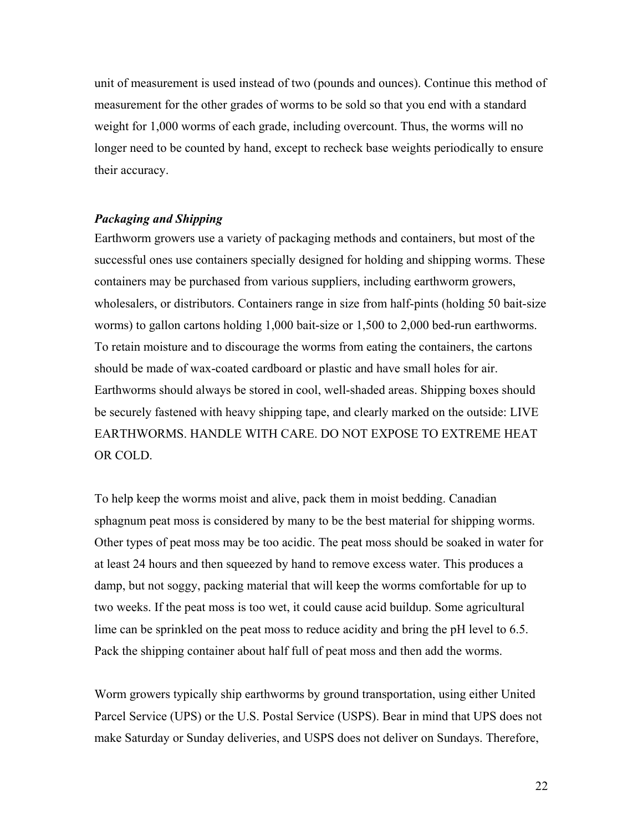<span id="page-21-0"></span>unit of measurement is used instead of two (pounds and ounces). Continue this method of measurement for the other grades of worms to be sold so that you end with a standard weight for 1,000 worms of each grade, including overcount. Thus, the worms will no longer need to be counted by hand, except to recheck base weights periodically to ensure their accuracy.

## *Packaging and Shipping*

Earthworm growers use a variety of packaging methods and containers, but most of the successful ones use containers specially designed for holding and shipping worms. These containers may be purchased from various suppliers, including earthworm growers, wholesalers, or distributors. Containers range in size from half-pints (holding 50 bait-size worms) to gallon cartons holding 1,000 bait-size or 1,500 to 2,000 bed-run earthworms. To retain moisture and to discourage the worms from eating the containers, the cartons should be made of wax-coated cardboard or plastic and have small holes for air. Earthworms should always be stored in cool, well-shaded areas. Shipping boxes should be securely fastened with heavy shipping tape, and clearly marked on the outside: LIVE EARTHWORMS. HANDLE WITH CARE. DO NOT EXPOSE TO EXTREME HEAT OR COLD.

To help keep the worms moist and alive, pack them in moist bedding. Canadian sphagnum peat moss is considered by many to be the best material for shipping worms. Other types of peat moss may be too acidic. The peat moss should be soaked in water for at least 24 hours and then squeezed by hand to remove excess water. This produces a damp, but not soggy, packing material that will keep the worms comfortable for up to two weeks. If the peat moss is too wet, it could cause acid buildup. Some agricultural lime can be sprinkled on the peat moss to reduce acidity and bring the pH level to 6.5. Pack the shipping container about half full of peat moss and then add the worms.

Worm growers typically ship earthworms by ground transportation, using either United Parcel Service (UPS) or the U.S. Postal Service (USPS). Bear in mind that UPS does not make Saturday or Sunday deliveries, and USPS does not deliver on Sundays. Therefore,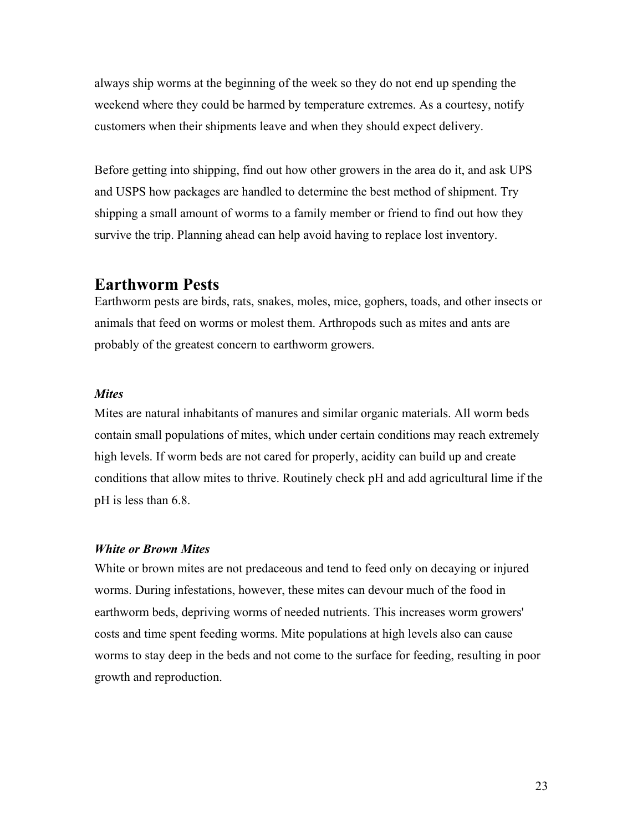<span id="page-22-0"></span>always ship worms at the beginning of the week so they do not end up spending the weekend where they could be harmed by temperature extremes. As a courtesy, notify customers when their shipments leave and when they should expect delivery.

Before getting into shipping, find out how other growers in the area do it, and ask UPS and USPS how packages are handled to determine the best method of shipment. Try shipping a small amount of worms to a family member or friend to find out how they survive the trip. Planning ahead can help avoid having to replace lost inventory.

# **Earthworm Pests**

Earthworm pests are birds, rats, snakes, moles, mice, gophers, toads, and other insects or animals that feed on worms or molest them. Arthropods such as mites and ants are probably of the greatest concern to earthworm growers.

## *Mites*

Mites are natural inhabitants of manures and similar organic materials. All worm beds contain small populations of mites, which under certain conditions may reach extremely high levels. If worm beds are not cared for properly, acidity can build up and create conditions that allow mites to thrive. Routinely check pH and add agricultural lime if the pH is less than 6.8.

## *White or Brown Mites*

White or brown mites are not predaceous and tend to feed only on decaying or injured worms. During infestations, however, these mites can devour much of the food in earthworm beds, depriving worms of needed nutrients. This increases worm growers' costs and time spent feeding worms. Mite populations at high levels also can cause worms to stay deep in the beds and not come to the surface for feeding, resulting in poor growth and reproduction.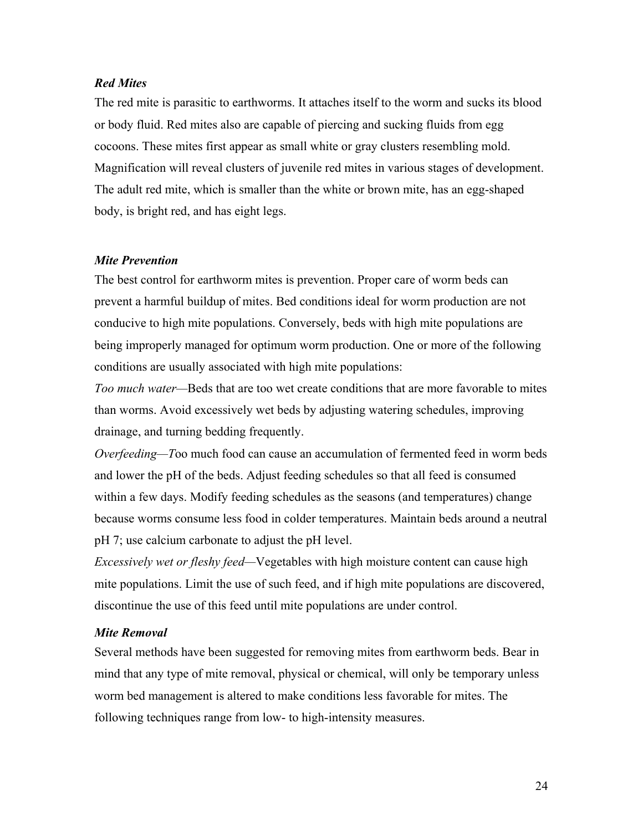# <span id="page-23-0"></span>*Red Mites*

The red mite is parasitic to earthworms. It attaches itself to the worm and sucks its blood or body fluid. Red mites also are capable of piercing and sucking fluids from egg cocoons. These mites first appear as small white or gray clusters resembling mold. Magnification will reveal clusters of juvenile red mites in various stages of development. The adult red mite, which is smaller than the white or brown mite, has an egg-shaped body, is bright red, and has eight legs.

## *Mite Prevention*

The best control for earthworm mites is prevention. Proper care of worm beds can prevent a harmful buildup of mites. Bed conditions ideal for worm production are not conducive to high mite populations. Conversely, beds with high mite populations are being improperly managed for optimum worm production. One or more of the following conditions are usually associated with high mite populations:

*Too much water—*Beds that are too wet create conditions that are more favorable to mites than worms. Avoid excessively wet beds by adjusting watering schedules, improving drainage, and turning bedding frequently.

*Overfeeding—T*oo much food can cause an accumulation of fermented feed in worm beds and lower the pH of the beds. Adjust feeding schedules so that all feed is consumed within a few days. Modify feeding schedules as the seasons (and temperatures) change because worms consume less food in colder temperatures. Maintain beds around a neutral pH 7; use calcium carbonate to adjust the pH level.

*Excessively wet or fleshy feed—*Vegetables with high moisture content can cause high mite populations. Limit the use of such feed, and if high mite populations are discovered, discontinue the use of this feed until mite populations are under control.

## *Mite Removal*

Several methods have been suggested for removing mites from earthworm beds. Bear in mind that any type of mite removal, physical or chemical, will only be temporary unless worm bed management is altered to make conditions less favorable for mites. The following techniques range from low- to high-intensity measures.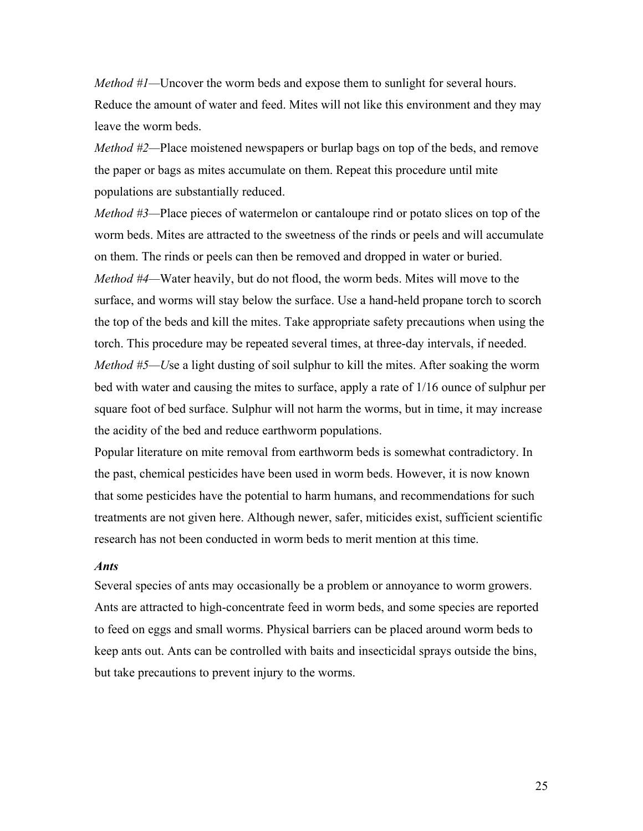<span id="page-24-0"></span>*Method #1*—Uncover the worm beds and expose them to sunlight for several hours. Reduce the amount of water and feed. Mites will not like this environment and they may leave the worm beds.

*Method #2—*Place moistened newspapers or burlap bags on top of the beds, and remove the paper or bags as mites accumulate on them. Repeat this procedure until mite populations are substantially reduced.

*Method #3—*Place pieces of watermelon or cantaloupe rind or potato slices on top of the worm beds. Mites are attracted to the sweetness of the rinds or peels and will accumulate on them. The rinds or peels can then be removed and dropped in water or buried. *Method #4—*Water heavily, but do not flood, the worm beds. Mites will move to the surface, and worms will stay below the surface. Use a hand-held propane torch to scorch the top of the beds and kill the mites. Take appropriate safety precautions when using the torch. This procedure may be repeated several times, at three-day intervals, if needed. *Method #5—U*se a light dusting of soil sulphur to kill the mites. After soaking the worm bed with water and causing the mites to surface, apply a rate of 1/16 ounce of sulphur per square foot of bed surface. Sulphur will not harm the worms, but in time, it may increase the acidity of the bed and reduce earthworm populations.

Popular literature on mite removal from earthworm beds is somewhat contradictory. In the past, chemical pesticides have been used in worm beds. However, it is now known that some pesticides have the potential to harm humans, and recommendations for such treatments are not given here. Although newer, safer, miticides exist, sufficient scientific research has not been conducted in worm beds to merit mention at this time.

#### *Ants*

Several species of ants may occasionally be a problem or annoyance to worm growers. Ants are attracted to high-concentrate feed in worm beds, and some species are reported to feed on eggs and small worms. Physical barriers can be placed around worm beds to keep ants out. Ants can be controlled with baits and insecticidal sprays outside the bins, but take precautions to prevent injury to the worms.